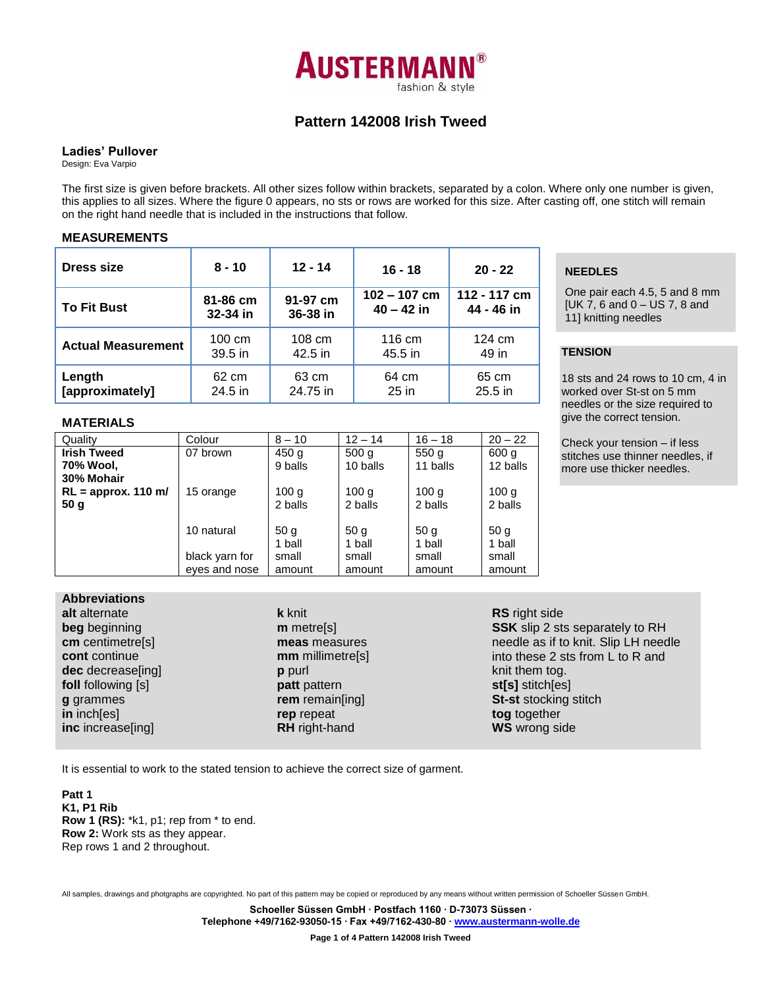

## **Pattern 142008 Irish Tweed**

## **Ladies' Pullover**

Design: Eva Varpio

The first size is given before brackets. All other sizes follow within brackets, separated by a colon. Where only one number is given, this applies to all sizes. Where the figure 0 appears, no sts or rows are worked for this size. After casting off, one stitch will remain on the right hand needle that is included in the instructions that follow.

## **MEASUREMENTS**

| <b>Dress size</b>         | $8 - 10$         | $12 - 14$ | $16 - 18$      | $20 - 22$    |  |
|---------------------------|------------------|-----------|----------------|--------------|--|
| <b>To Fit Bust</b>        | 81-86 cm         | 91-97 cm  | $102 - 107$ cm | 112 - 117 cm |  |
|                           | 32-34 in         | 36-38 in  | $40 - 42$ in   | 44 - 46 in   |  |
| <b>Actual Measurement</b> | $100 \text{ cm}$ | 108 cm    | 116 cm         | 124 cm       |  |
|                           | $39.5$ in        | 42.5 in   | 45.5 in        | 49 in        |  |
| Length                    | 62 cm            | 63 cm     | 64 cm          | 65 cm        |  |
| [approximately]           | 24.5 in          | 24.75 in  | $25$ in        | $25.5$ in    |  |

#### **MATERIALS**

| Quality                                       | Colour         | $8 - 10$                    | $12 - 14$                   | $16 - 18$                   | $20 - 22$                   |
|-----------------------------------------------|----------------|-----------------------------|-----------------------------|-----------------------------|-----------------------------|
| <b>Irish Tweed</b><br>70% Wool,<br>30% Mohair | 07 brown       | 450 <sub>g</sub><br>9 balls | 500q<br>10 balls            | 550q<br>11 balls            | 600 g<br>12 balls           |
| $RL =$ approx. 110 m/<br>50 g                 | 15 orange      | 100 <sub>q</sub><br>2 balls | 100 <sub>q</sub><br>2 balls | 100 <sub>q</sub><br>2 balls | 100 <sub>q</sub><br>2 balls |
|                                               | 10 natural     | 50 <sub>q</sub><br>1 ball   | 50 <sub>q</sub><br>1 ball   | 50 <sub>q</sub><br>1 ball   | 50 <sub>q</sub><br>1 ball   |
|                                               | black yarn for | small                       | small                       | small                       | small                       |
|                                               | eyes and nose  | amount                      | amount                      | amount                      | amount                      |

## **Abbreviations**

| alt alternate      | k knit         |
|--------------------|----------------|
| beg beginning      | m metr         |
| cm centimetre[s]   | meas r         |
| cont continue      | mm mi          |
| dec decrease[ing]  | <b>p</b> purl  |
| foll following [s] | patt pa        |
| g grammes          | rem rei        |
| in inch[es]        | rep rep        |
| inc increase[ing]  | <b>RH</b> righ |
|                    |                |

e<sup>[s]</sup> **meas** measures llimetre[s] *attern* main[ing] **reat RH** right-hand

**RS** right side **SSK** slip 2 sts separately to RH needle as if to knit. Slip LH needle into these 2 sts from L to R and knit them tog. **st[s]** stitch[es] **St-st** stocking stitch **tog** together **WS** wrong side

It is essential to work to the stated tension to achieve the correct size of garment.

**Patt 1 K1, P1 Rib Row 1 (RS):** \*k1, p1; rep from \* to end. **Row 2:** Work sts as they appear. Rep rows 1 and 2 throughout.

All samples, drawings and photgraphs are copyrighted. No part of this pattern may be copied or reproduced by any means without written permission of Schoeller Süssen GmbH.

**Schoeller Süssen GmbH ∙ Postfach 1160 ∙ D-73073 Süssen ∙ Telephone +49/7162-93050-15 ∙ Fax +49/7162-430-80 [∙ www.austermann-wolle.de](http://www.austermann-wolle.de/)**

**Page 1 of 4 Pattern 142008 Irish Tweed**

## **NEEDLES**

One pair each 4.5, 5 and 8 mm [UK 7, 6 and 0 – US 7, 8 and 11] knitting needles

# **TENSION**

18 sts and 24 rows to 10 cm, 4 in worked over St-st on 5 mm needles or the size required to give the correct tension.

Check your tension – if less stitches use thinner needles, if more use thicker needles.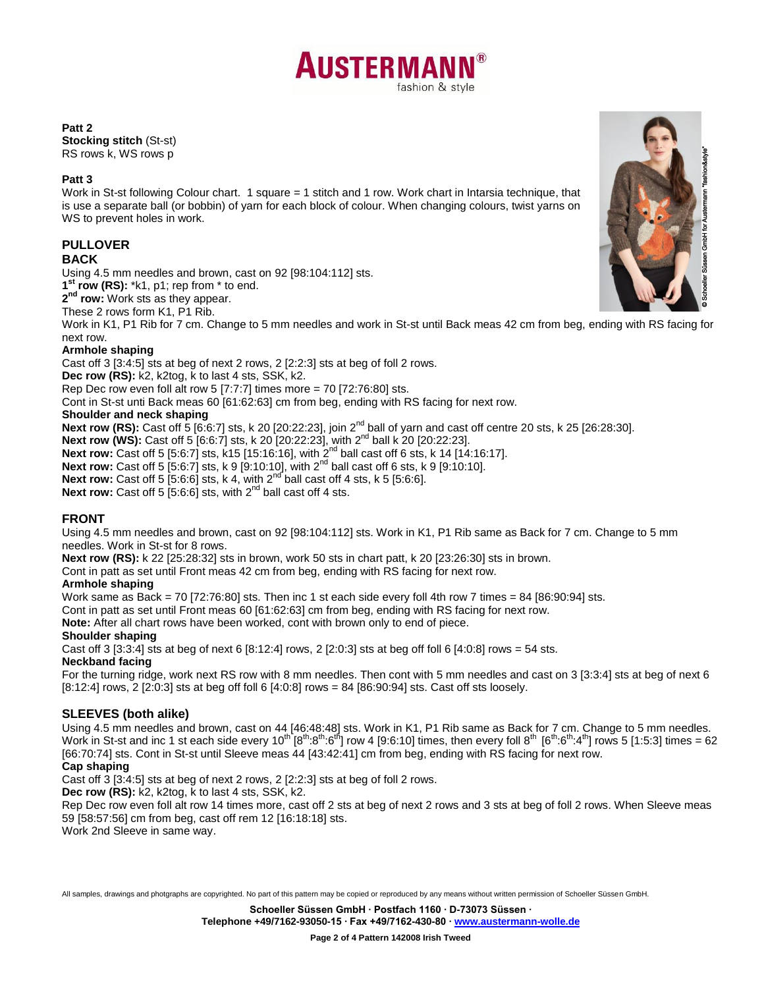

#### **Patt 2**

**Stocking stitch** (St-st) RS rows k, WS rows p

## **Patt 3**

Work in St-st following Colour chart. 1 square = 1 stitch and 1 row. Work chart in Intarsia technique, that is use a separate ball (or bobbin) of yarn for each block of colour. When changing colours, twist yarns on WS to prevent holes in work.

## **PULLOVER**

## **BACK**

Using 4.5 mm needles and brown, cast on 92 [98:104:112] sts.

**1 st row (RS):** \*k1, p1; rep from \* to end.

**2 nd row:** Work sts as they appear.

These 2 rows form K1, P1 Rib.

Work in K1, P1 Rib for 7 cm. Change to 5 mm needles and work in St-st until Back meas 42 cm from beg, ending with RS facing for next row.

## **Armhole shaping**

Cast off 3 [3:4:5] sts at beg of next 2 rows, 2 [2:2:3] sts at beg of foll 2 rows.

**Dec row (RS):** k2, k2tog, k to last 4 sts, SSK, k2.

Rep Dec row even foll alt row 5 [7:7:7] times more = 70 [72:76:80] sts.

Cont in St-st unti Back meas 60 [61:62:63] cm from beg, ending with RS facing for next row.

## **Shoulder and neck shaping**

**Next row (RS):** Cast off 5 [6:6:7] sts, k 20 [20:22:23], join 2<sup>nd</sup> ball of yarn and cast off centre 20 sts, k 25 [26:28:30]. **Next row (WS):** Cast off 5 [6:6:7] sts, k 20 [20:22:23], with 2<sup>nd</sup> ball k 20 [20:22:23]. **Next row:** Cast off 5 [5:6:7] sts, k15 [15:16:16], with 2nd ball cast off 6 sts, k 14 [14:16:17]. **Next row:** Cast off 5 [5:6:7] sts, k 9 [9:10:10], with 2<sup>nd</sup> ball cast off 6 sts, k 9 [9:10:10]. **Next row:** Cast off 5  $[5:6:6]$  sts, k 4, with  $2^{nd}$  ball cast off 4 sts, k 5  $[5:6:6]$ . **Next row:** Cast off 5 [5:6:6] sts, with 2<sup>nd</sup> ball cast off 4 sts.

## **FRONT**

Using 4.5 mm needles and brown, cast on 92 [98:104:112] sts. Work in K1, P1 Rib same as Back for 7 cm. Change to 5 mm needles. Work in St-st for 8 rows.

**Next row (RS):** k 22 [25:28:32] sts in brown, work 50 sts in chart patt, k 20 [23:26:30] sts in brown.

Cont in patt as set until Front meas 42 cm from beg, ending with RS facing for next row.

## **Armhole shaping**

Work same as Back = 70 [72:76:80] sts. Then inc 1 st each side every foll 4th row 7 times = 84 [86:90:94] sts.

Cont in patt as set until Front meas 60 [61:62:63] cm from beg, ending with RS facing for next row.

**Note:** After all chart rows have been worked, cont with brown only to end of piece.

## **Shoulder shaping**

Cast off 3 [3:3:4] sts at beg of next 6 [8:12:4] rows, 2 [2:0:3] sts at beg off foll 6 [4:0:8] rows = 54 sts.

**Neckband facing**

For the turning ridge, work next RS row with 8 mm needles. Then cont with 5 mm needles and cast on 3 [3:3:4] sts at beg of next 6  $[8:12:4]$  rows, 2  $[2:0:3]$  sts at beg off foll 6  $[4:0:8]$  rows = 84  $[86:90:94]$  sts. Cast off sts loosely.

## **SLEEVES (both alike)**

Using 4.5 mm needles and brown, cast on 44 [46:48:48] sts. Work in K1, P1 Rib same as Back for 7 cm. Change to 5 mm needles. Work in St-st and inc 1 st each side every 10<sup>th</sup> [8<sup>th</sup>:8<sup>th</sup>:6<sup>th</sup>] row 4 [9:6:10] times, then every foll 8<sup>th</sup> [6<sup>th</sup>:6<sup>th</sup>:4<sup>th</sup>] rows 5 [1:5:3] times = 62 [66:70:74] sts. Cont in St-st until Sleeve meas 44 [43:42:41] cm from beg, ending with RS facing for next row.

## **Cap shaping**

Cast off 3 [3:4:5] sts at beg of next 2 rows, 2 [2:2:3] sts at beg of foll 2 rows.

**Dec row (RS):** k2, k2tog, k to last 4 sts, SSK, k2.

Rep Dec row even foll alt row 14 times more, cast off 2 sts at beg of next 2 rows and 3 sts at beg of foll 2 rows. When Sleeve meas 59 [58:57:56] cm from beg, cast off rem 12 [16:18:18] sts.

Work 2nd Sleeve in same way.

All samples, drawings and photgraphs are copyrighted. No part of this pattern may be copied or reproduced by any means without written permission of Schoeller Süssen GmbH.

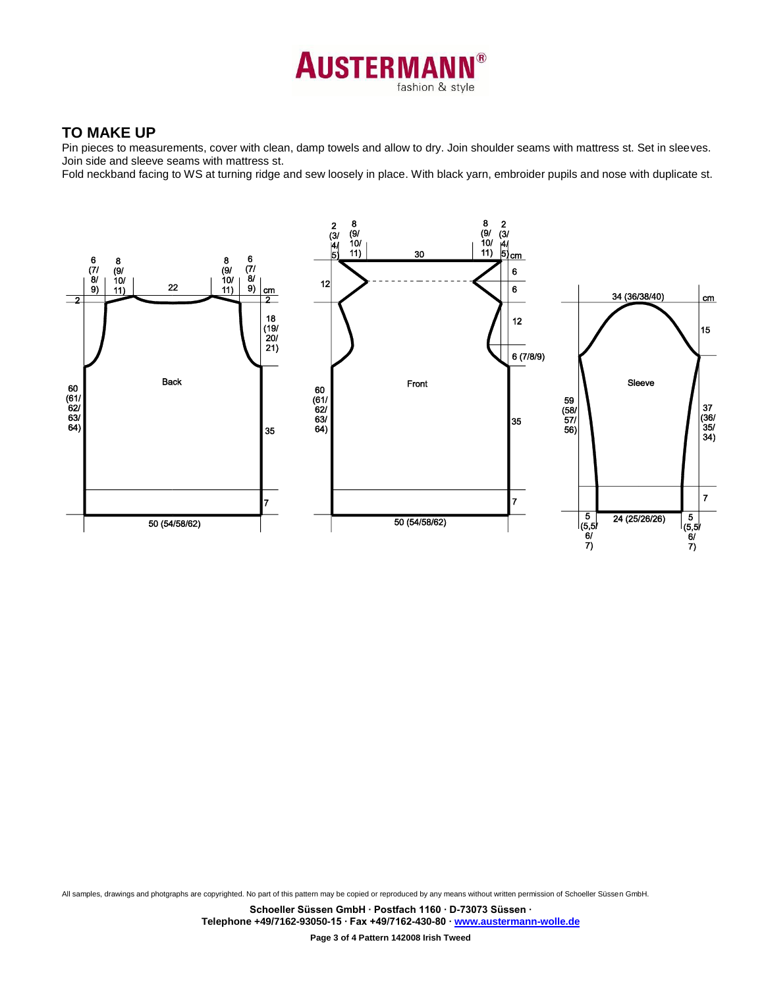

## **TO MAKE UP**

Pin pieces to measurements, cover with clean, damp towels and allow to dry. Join shoulder seams with mattress st. Set in sleeves. Join side and sleeve seams with mattress st.

Fold neckband facing to WS at turning ridge and sew loosely in place. With black yarn, embroider pupils and nose with duplicate st.



All samples, drawings and photgraphs are copyrighted. No part of this pattern may be copied or reproduced by any means without written permission of Schoeller Süssen GmbH.

**Schoeller Süssen GmbH ∙ Postfach 1160 ∙ D-73073 Süssen ∙ Telephone +49/7162-93050-15 ∙ Fax +49/7162-430-80 [∙ www.austermann-wolle.de](http://www.austermann-wolle.de/)**